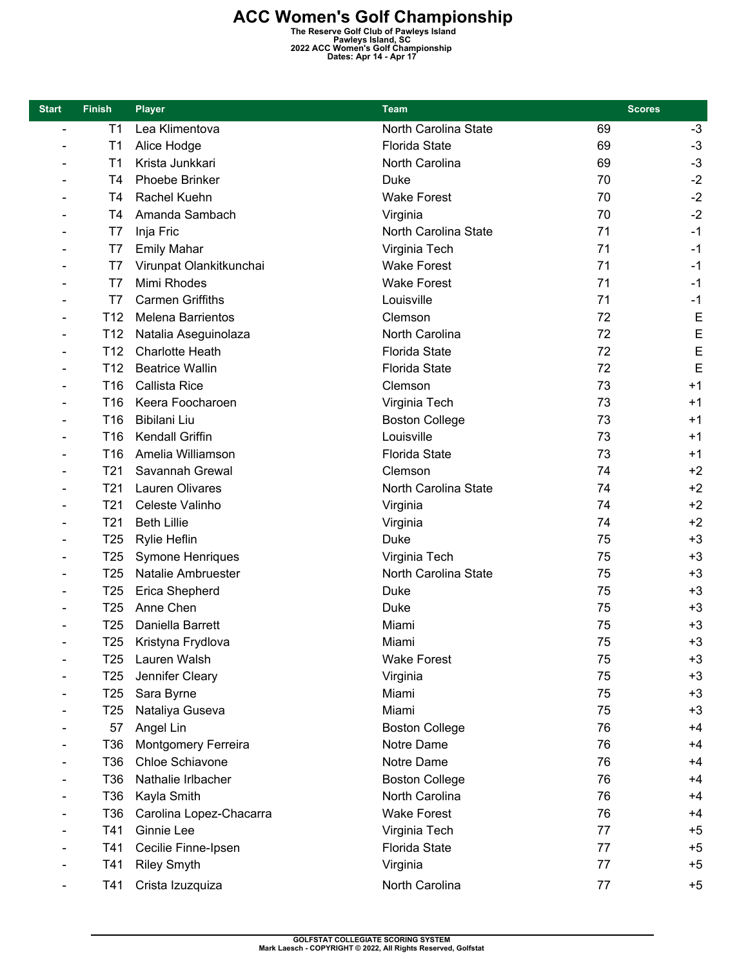**ACC Women's Golf Championship**<br>
The Reserve Golf Club of Pawleys Island<br>
Pawleys Island, SC<br>
2022 ACC Women's Golf Championship<br>
Dates: Apr 14 - Apr 17

| <b>Start</b>             | <b>Finish</b>   | <b>Player</b>              | <b>Team</b>           | <b>Scores</b> |      |
|--------------------------|-----------------|----------------------------|-----------------------|---------------|------|
| $\overline{\phantom{a}}$ | T <sub>1</sub>  | Lea Klimentova             | North Carolina State  | 69            | $-3$ |
|                          | T <sub>1</sub>  | Alice Hodge                | <b>Florida State</b>  | 69            | $-3$ |
|                          | T <sub>1</sub>  | Krista Junkkari            | North Carolina        | 69            | $-3$ |
|                          | T4              | Phoebe Brinker             | <b>Duke</b>           | 70            | $-2$ |
|                          | T4              | Rachel Kuehn               | <b>Wake Forest</b>    | 70            | $-2$ |
|                          | Τ4              | Amanda Sambach             | Virginia              | 70            | $-2$ |
|                          | T7              | Inja Fric                  | North Carolina State  | 71            | $-1$ |
|                          | T7              | <b>Emily Mahar</b>         | Virginia Tech         | 71            | $-1$ |
|                          | T7              | Virunpat Olankitkunchai    | <b>Wake Forest</b>    | 71            | $-1$ |
|                          | T7              | Mimi Rhodes                | <b>Wake Forest</b>    | 71            | $-1$ |
|                          | T7              | <b>Carmen Griffiths</b>    | Louisville            | 71            | $-1$ |
|                          | T <sub>12</sub> | <b>Melena Barrientos</b>   | Clemson               | 72            | E    |
|                          | T <sub>12</sub> | Natalia Aseguinolaza       | North Carolina        | 72            | E    |
|                          | T <sub>12</sub> | <b>Charlotte Heath</b>     | <b>Florida State</b>  | 72            | E    |
|                          | T <sub>12</sub> | <b>Beatrice Wallin</b>     | <b>Florida State</b>  | 72            | E    |
|                          | T16             | <b>Callista Rice</b>       | Clemson               | 73            | $+1$ |
|                          | T <sub>16</sub> | Keera Foocharoen           | Virginia Tech         | 73            | $+1$ |
|                          | T <sub>16</sub> | Bibilani Liu               | <b>Boston College</b> | 73            | $+1$ |
|                          | T <sub>16</sub> | Kendall Griffin            | Louisville            | 73            | $+1$ |
|                          | T <sub>16</sub> | Amelia Williamson          | <b>Florida State</b>  | 73            | $+1$ |
|                          | T21             | Savannah Grewal            | Clemson               | 74            | $+2$ |
|                          | T <sub>21</sub> | Lauren Olivares            | North Carolina State  | 74            | $+2$ |
|                          | T <sub>21</sub> | Celeste Valinho            | Virginia              | 74            | $+2$ |
|                          | T <sub>21</sub> | <b>Beth Lillie</b>         | Virginia              | 74            | $+2$ |
|                          | T <sub>25</sub> | Rylie Heflin               | <b>Duke</b>           | 75            | $+3$ |
|                          | T <sub>25</sub> | Symone Henriques           | Virginia Tech         | 75            | $+3$ |
|                          | T <sub>25</sub> | Natalie Ambruester         | North Carolina State  | 75            | $+3$ |
|                          | T <sub>25</sub> | Erica Shepherd             | Duke                  | 75            | $+3$ |
|                          | T <sub>25</sub> | Anne Chen                  | Duke                  | 75            | $+3$ |
|                          | T <sub>25</sub> | Daniella Barrett           | Miami                 | 75            | $+3$ |
|                          | T25             | Kristyna Frydlova          | Miami                 | 75            | $+3$ |
|                          | T25             | Lauren Walsh               | <b>Wake Forest</b>    | 75            | $+3$ |
|                          | T <sub>25</sub> | Jennifer Cleary            | Virginia              | 75            | $+3$ |
|                          | T <sub>25</sub> | Sara Byrne                 | Miami                 | 75            | $+3$ |
|                          | T <sub>25</sub> | Nataliya Guseva            | Miami                 | 75            | $+3$ |
|                          | 57              | Angel Lin                  | <b>Boston College</b> | 76            | $+4$ |
|                          | T36             | <b>Montgomery Ferreira</b> | Notre Dame            | 76            | $+4$ |
|                          | T36             | Chloe Schiavone            | Notre Dame            | 76            | $+4$ |
|                          | T36             | Nathalie Irlbacher         | <b>Boston College</b> | 76            | $+4$ |
|                          | T <sub>36</sub> | Kayla Smith                | North Carolina        | 76            | $+4$ |
|                          | T36             | Carolina Lopez-Chacarra    | <b>Wake Forest</b>    | 76            | $+4$ |
|                          | T41             | Ginnie Lee                 | Virginia Tech         | 77            | $+5$ |
|                          | T41             | Cecilie Finne-Ipsen        | <b>Florida State</b>  | 77            | $+5$ |
|                          | T41             | <b>Riley Smyth</b>         | Virginia              | 77            | $+5$ |
|                          | T41             | Crista Izuzquiza           | North Carolina        | 77            | $+5$ |